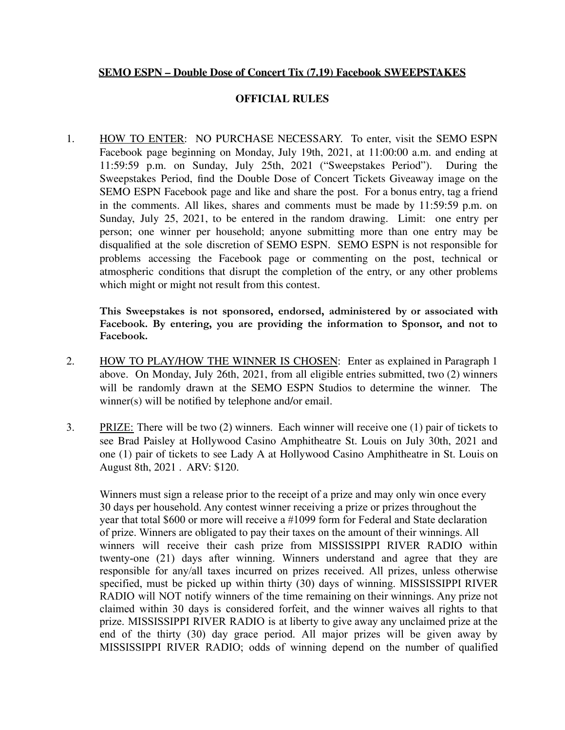## **SEMO ESPN – Double Dose of Concert Tix (7.19) Facebook SWEEPSTAKES**

## **OFFICIAL RULES**

1. HOW TO ENTER: NO PURCHASE NECESSARY. To enter, visit the SEMO ESPN Facebook page beginning on Monday, July 19th, 2021, at 11:00:00 a.m. and ending at 11:59:59 p.m. on Sunday, July 25th, 2021 ("Sweepstakes Period"). During the Sweepstakes Period, find the Double Dose of Concert Tickets Giveaway image on the SEMO ESPN Facebook page and like and share the post. For a bonus entry, tag a friend in the comments. All likes, shares and comments must be made by 11:59:59 p.m. on Sunday, July 25, 2021, to be entered in the random drawing. Limit: one entry per person; one winner per household; anyone submitting more than one entry may be disqualified at the sole discretion of SEMO ESPN. SEMO ESPN is not responsible for problems accessing the Facebook page or commenting on the post, technical or atmospheric conditions that disrupt the completion of the entry, or any other problems which might or might not result from this contest.

**This Sweepstakes is not sponsored, endorsed, administered by or associated with Facebook. By entering, you are providing the information to Sponsor, and not to Facebook.**

- 2. HOW TO PLAY/HOW THE WINNER IS CHOSEN: Enter as explained in Paragraph 1 above. On Monday, July 26th, 2021, from all eligible entries submitted, two (2) winners will be randomly drawn at the SEMO ESPN Studios to determine the winner. The winner(s) will be notified by telephone and/or email.
- 3. PRIZE: There will be two (2) winners. Each winner will receive one (1) pair of tickets to see Brad Paisley at Hollywood Casino Amphitheatre St. Louis on July 30th, 2021 and one (1) pair of tickets to see Lady A at Hollywood Casino Amphitheatre in St. Louis on August 8th, 2021 . ARV: \$120.

Winners must sign a release prior to the receipt of a prize and may only win once every 30 days per household. Any contest winner receiving a prize or prizes throughout the year that total \$600 or more will receive a #1099 form for Federal and State declaration of prize. Winners are obligated to pay their taxes on the amount of their winnings. All winners will receive their cash prize from MISSISSIPPI RIVER RADIO within twenty-one (21) days after winning. Winners understand and agree that they are responsible for any/all taxes incurred on prizes received. All prizes, unless otherwise specified, must be picked up within thirty (30) days of winning. MISSISSIPPI RIVER RADIO will NOT notify winners of the time remaining on their winnings. Any prize not claimed within 30 days is considered forfeit, and the winner waives all rights to that prize. MISSISSIPPI RIVER RADIO is at liberty to give away any unclaimed prize at the end of the thirty (30) day grace period. All major prizes will be given away by MISSISSIPPI RIVER RADIO; odds of winning depend on the number of qualified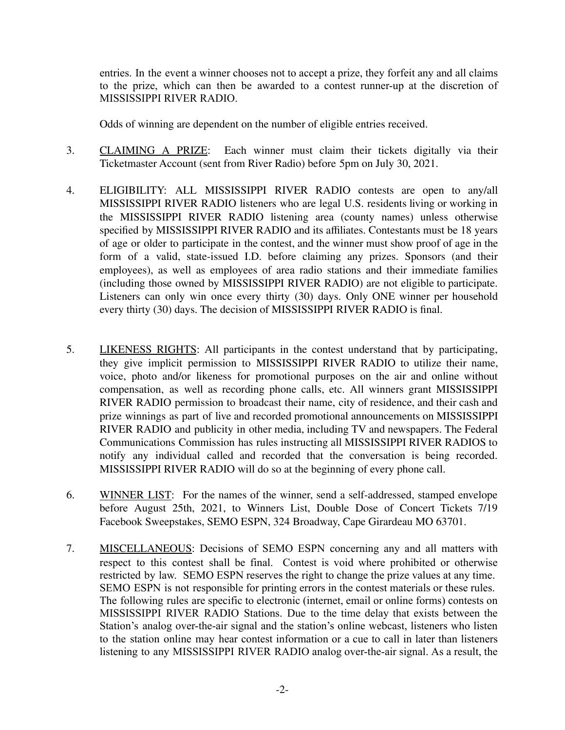entries. In the event a winner chooses not to accept a prize, they forfeit any and all claims to the prize, which can then be awarded to a contest runner-up at the discretion of MISSISSIPPI RIVER RADIO.

Odds of winning are dependent on the number of eligible entries received.

- 3. CLAIMING A PRIZE: Each winner must claim their tickets digitally via their Ticketmaster Account (sent from River Radio) before 5pm on July 30, 2021.
- 4. ELIGIBILITY: ALL MISSISSIPPI RIVER RADIO contests are open to any/all MISSISSIPPI RIVER RADIO listeners who are legal U.S. residents living or working in the MISSISSIPPI RIVER RADIO listening area (county names) unless otherwise specified by MISSISSIPPI RIVER RADIO and its affiliates. Contestants must be 18 years of age or older to participate in the contest, and the winner must show proof of age in the form of a valid, state-issued I.D. before claiming any prizes. Sponsors (and their employees), as well as employees of area radio stations and their immediate families (including those owned by MISSISSIPPI RIVER RADIO) are not eligible to participate. Listeners can only win once every thirty (30) days. Only ONE winner per household every thirty (30) days. The decision of MISSISSIPPI RIVER RADIO is final.
- 5. LIKENESS RIGHTS: All participants in the contest understand that by participating, they give implicit permission to MISSISSIPPI RIVER RADIO to utilize their name, voice, photo and/or likeness for promotional purposes on the air and online without compensation, as well as recording phone calls, etc. All winners grant MISSISSIPPI RIVER RADIO permission to broadcast their name, city of residence, and their cash and prize winnings as part of live and recorded promotional announcements on MISSISSIPPI RIVER RADIO and publicity in other media, including TV and newspapers. The Federal Communications Commission has rules instructing all MISSISSIPPI RIVER RADIOS to notify any individual called and recorded that the conversation is being recorded. MISSISSIPPI RIVER RADIO will do so at the beginning of every phone call.
- 6. WINNER LIST: For the names of the winner, send a self-addressed, stamped envelope before August 25th, 2021, to Winners List, Double Dose of Concert Tickets 7/19 Facebook Sweepstakes, SEMO ESPN, 324 Broadway, Cape Girardeau MO 63701.
- 7. MISCELLANEOUS: Decisions of SEMO ESPN concerning any and all matters with respect to this contest shall be final. Contest is void where prohibited or otherwise restricted by law. SEMO ESPN reserves the right to change the prize values at any time. SEMO ESPN is not responsible for printing errors in the contest materials or these rules. The following rules are specific to electronic (internet, email or online forms) contests on MISSISSIPPI RIVER RADIO Stations. Due to the time delay that exists between the Station's analog over-the-air signal and the station's online webcast, listeners who listen to the station online may hear contest information or a cue to call in later than listeners listening to any MISSISSIPPI RIVER RADIO analog over-the-air signal. As a result, the